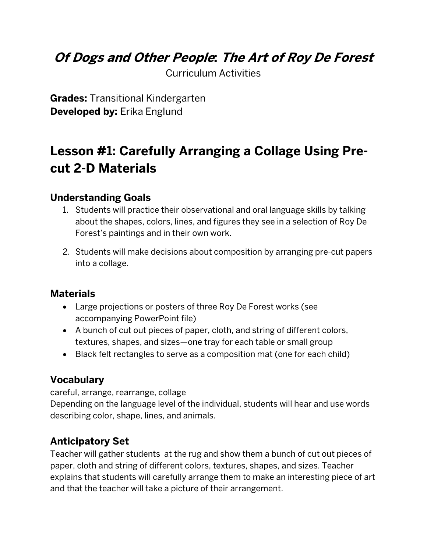### **Of Dogs and Other People: The Art of Roy De Forest**

Curriculum Activities

**Grades:** Transitional Kindergarten **Developed by:** Erika Englund

## **Lesson #1: Carefully Arranging a Collage Using Precut 2-D Materials**

#### **Understanding Goals**

- 1. Students will practice their observational and oral language skills by talking about the shapes, colors, lines, and figures they see in a selection of Roy De Forest's paintings and in their own work.
- 2. Students will make decisions about composition by arranging pre-cut papers into a collage.

#### **Materials**

- Large projections or posters of three Roy De Forest works (see accompanying PowerPoint file)
- A bunch of cut out pieces of paper, cloth, and string of different colors, textures, shapes, and sizes—one tray for each table or small group
- Black felt rectangles to serve as a composition mat (one for each child)

#### **Vocabulary**

careful, arrange, rearrange, collage

Depending on the language level of the individual, students will hear and use words describing color, shape, lines, and animals.

#### **Anticipatory Set**

Teacher will gather students at the rug and show them a bunch of cut out pieces of paper, cloth and string of different colors, textures, shapes, and sizes. Teacher explains that students will carefully arrange them to make an interesting piece of art and that the teacher will take a picture of their arrangement.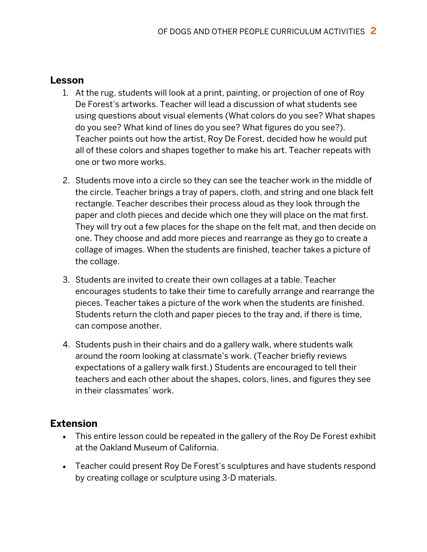#### **Lesson**

- 1. At the rug, students will look at a print, painting, or projection of one of Roy De Forest's artworks. Teacher will lead a discussion of what students see using questions about visual elements (What colors do you see? What shapes do you see? What kind of lines do you see? What figures do you see?). Teacher points out how the artist, Roy De Forest, decided how he would put all of these colors and shapes together to make his art. Teacher repeats with one or two more works.
- 2. Students move into a circle so they can see the teacher work in the middle of the circle. Teacher brings a tray of papers, cloth, and string and one black felt rectangle. Teacher describes their process aloud as they look through the paper and cloth pieces and decide which one they will place on the mat first. They will try out a few places for the shape on the felt mat, and then decide on one. They choose and add more pieces and rearrange as they go to create a collage of images. When the students are finished, teacher takes a picture of the collage.
- 3. Students are invited to create their own collages at a table. Teacher encourages students to take their time to carefully arrange and rearrange the pieces. Teacher takes a picture of the work when the students are finished. Students return the cloth and paper pieces to the tray and, if there is time, can compose another.
- 4. Students push in their chairs and do a gallery walk, where students walk around the room looking at classmate's work. (Teacher briefly reviews expectations of a gallery walk first.) Students are encouraged to tell their teachers and each other about the shapes, colors, lines, and figures they see in their classmates' work.

#### **Extension**

- This entire lesson could be repeated in the gallery of the Roy De Forest exhibit at the Oakland Museum of California.
- Teacher could present Roy De Forest's sculptures and have students respond by creating collage or sculpture using 3-D materials.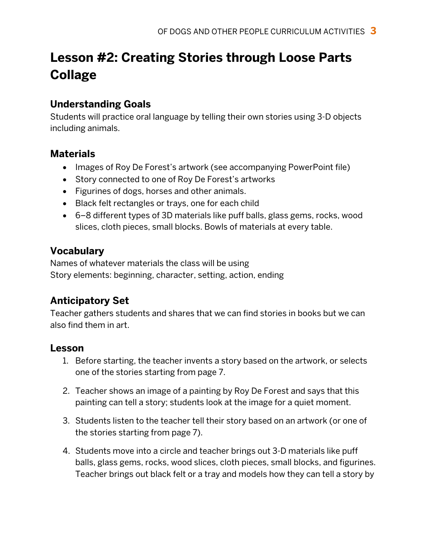# **Lesson #2: Creating Stories through Loose Parts Collage**

#### **Understanding Goals**

Students will practice oral language by telling their own stories using 3-D objects including animals.

#### **Materials**

- Images of Roy De Forest's artwork (see accompanying PowerPoint file)
- Story connected to one of Roy De Forest's artworks
- Figurines of dogs, horses and other animals.
- Black felt rectangles or trays, one for each child
- 6–8 different types of 3D materials like puff balls, glass gems, rocks, wood slices, cloth pieces, small blocks. Bowls of materials at every table.

### **Vocabulary**

Names of whatever materials the class will be using Story elements: beginning, character, setting, action, ending

### **Anticipatory Set**

Teacher gathers students and shares that we can find stories in books but we can also find them in art.

#### **Lesson**

- 1. Before starting, the teacher invents a story based on the artwork, or selects one of the stories starting from page 7.
- 2. Teacher shows an image of a painting by Roy De Forest and says that this painting can tell a story; students look at the image for a quiet moment.
- 3. Students listen to the teacher tell their story based on an artwork (or one of the stories starting from page 7).
- 4. Students move into a circle and teacher brings out 3-D materials like puff balls, glass gems, rocks, wood slices, cloth pieces, small blocks, and figurines. Teacher brings out black felt or a tray and models how they can tell a story by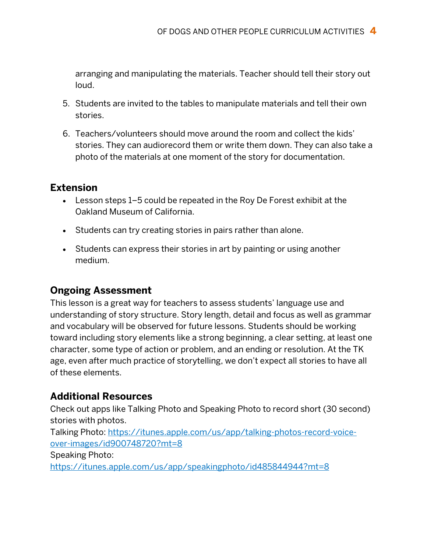arranging and manipulating the materials. Teacher should tell their story out loud.

- 5. Students are invited to the tables to manipulate materials and tell their own stories.
- 6. Teachers/volunteers should move around the room and collect the kids' stories. They can audiorecord them or write them down. They can also take a photo of the materials at one moment of the story for documentation.

#### **Extension**

- Lesson steps 1–5 could be repeated in the Roy De Forest exhibit at the Oakland Museum of California.
- Students can try creating stories in pairs rather than alone.
- Students can express their stories in art by painting or using another medium.

#### **Ongoing Assessment**

This lesson is a great way for teachers to assess students' language use and understanding of story structure. Story length, detail and focus as well as grammar and vocabulary will be observed for future lessons. Students should be working toward including story elements like a strong beginning, a clear setting, at least one character, some type of action or problem, and an ending or resolution. At the TK age, even after much practice of storytelling, we don't expect all stories to have all of these elements.

#### **Additional Resources**

Check out apps like Talking Photo and Speaking Photo to record short (30 second) stories with photos.

Talking Photo: https://itunes.apple.com/us/app/talking-photos-record-voiceover-images/id900748720?mt=8

Speaking Photo:

https://itunes.apple.com/us/app/speakingphoto/id485844944?mt=8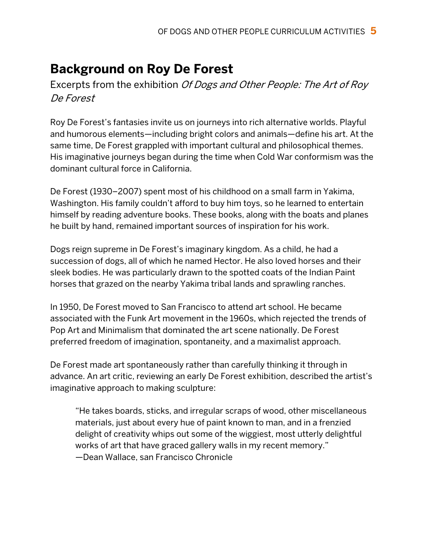### **Background on Roy De Forest**

Excerpts from the exhibition *Of Dogs and Other People: The Art of Roy* De Forest

Roy De Forest's fantasies invite us on journeys into rich alternative worlds. Playful and humorous elements—including bright colors and animals—define his art. At the same time, De Forest grappled with important cultural and philosophical themes. His imaginative journeys began during the time when Cold War conformism was the dominant cultural force in California.

De Forest (1930–2007) spent most of his childhood on a small farm in Yakima, Washington. His family couldn't afford to buy him toys, so he learned to entertain himself by reading adventure books. These books, along with the boats and planes he built by hand, remained important sources of inspiration for his work.

Dogs reign supreme in De Forest's imaginary kingdom. As a child, he had a succession of dogs, all of which he named Hector. He also loved horses and their sleek bodies. He was particularly drawn to the spotted coats of the Indian Paint horses that grazed on the nearby Yakima tribal lands and sprawling ranches.

In 1950, De Forest moved to San Francisco to attend art school. He became associated with the Funk Art movement in the 1960s, which rejected the trends of Pop Art and Minimalism that dominated the art scene nationally. De Forest preferred freedom of imagination, spontaneity, and a maximalist approach.

De Forest made art spontaneously rather than carefully thinking it through in advance. An art critic, reviewing an early De Forest exhibition, described the artist's imaginative approach to making sculpture:

"He takes boards, sticks, and irregular scraps of wood, other miscellaneous materials, just about every hue of paint known to man, and in a frenzied delight of creativity whips out some of the wiggiest, most utterly delightful works of art that have graced gallery walls in my recent memory." —Dean Wallace, san Francisco Chronicle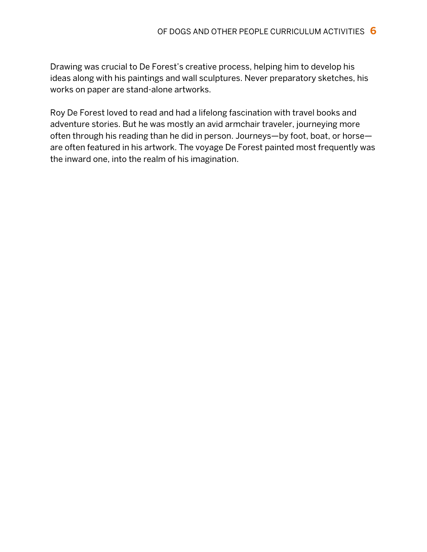Drawing was crucial to De Forest's creative process, helping him to develop his ideas along with his paintings and wall sculptures. Never preparatory sketches, his works on paper are stand-alone artworks.

Roy De Forest loved to read and had a lifelong fascination with travel books and adventure stories. But he was mostly an avid armchair traveler, journeying more often through his reading than he did in person. Journeys—by foot, boat, or horse are often featured in his artwork. The voyage De Forest painted most frequently was the inward one, into the realm of his imagination.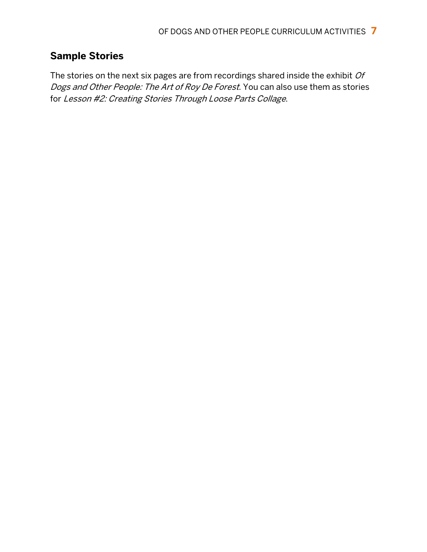### **Sample Stories**

The stories on the next six pages are from recordings shared inside the exhibit  $Of$ Dogs and Other People: The Art of Roy De Forest. You can also use them as stories for Lesson #2: Creating Stories Through Loose Parts Collage.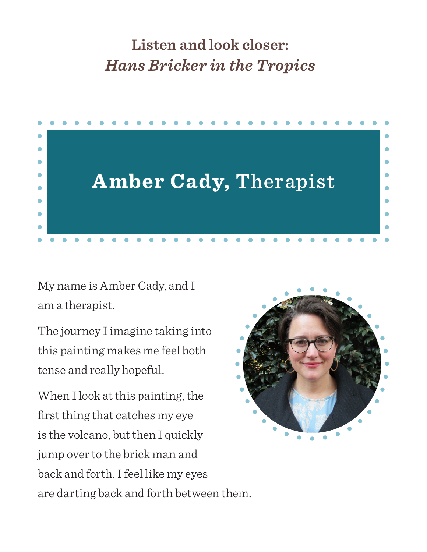# **Listen and look closer:** *Hans Bricker in the Tropics*



My name is Amber Cady, and I am a therapist.

The journey I imagine taking into this painting makes me feel both tense and really hopeful.

When I look at this painting, the first thing that catches my eye is the volcano, but then I quickly jump over to the brick man and back and forth. I feel like my eyes are darting back and forth between them.

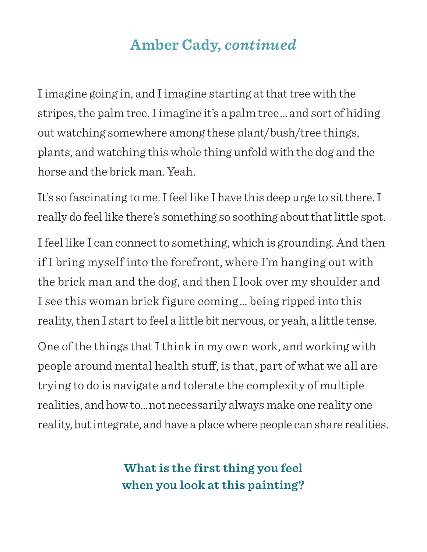# **Amber Cady,** *continued*

I imagine going in, and I imagine starting at that tree with the stripes, the palm tree. I imagine it's a palm tree …  and sort of hiding out watching somewhere among these plant/bush/tree things, plants, and watching this whole thing unfold with the dog and the horse and the brick man. Yeah.

It's so fascinating to me. I feel like I have this deep urge to sit there. I really do feel like there's something so soothing about that little spot.

I feel like I can connect to something, which is grounding. And then if I bring myself into the forefront, where I'm hanging out with the brick man and the dog, and then I look over my shoulder and I see this woman brick figure coming …  being ripped into this reality, then I start to feel a little bit nervous, or yeah, a little tense.

One of the things that I think in my own work, and working with people around mental health stuff, is that, part of what we all are trying to do is navigate and tolerate the complexity of multiple realities, and how to… not necessarily always make one reality one reality, but integrate, and have a place where people can share realities.

> **What is the first thing you feel when you look at this painting?**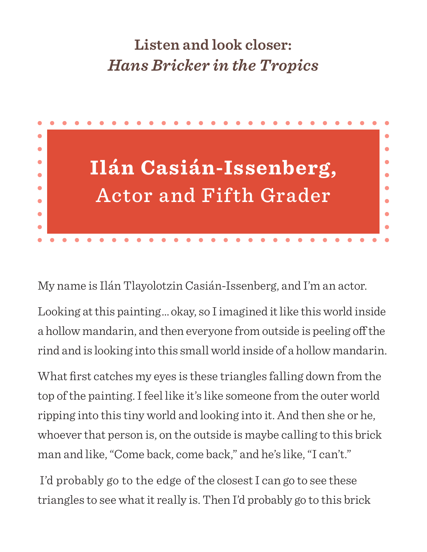# **Listen and look closer:** *Hans Bricker in the Tropics*



My name is Ilán Tlayolotzin Casián-Issenberg, and I'm an actor.

Looking at this painting … okay, so I imagined it like this world inside a hollow mandarin, and then everyone from outside is peeling off the rind and is looking into this small world inside of a hollow mandarin.

What first catches my eyes is these triangles falling down from the top of the painting. I feel like it's like someone from the outer world ripping into this tiny world and looking into it. And then she or he, whoever that person is, on the outside is maybe calling to this brick man and like, "Come back, come back," and he's like, "I can't."

 I'd probably go to the edge of the closest I can go to see these triangles to see what it really is. Then I'd probably go to this brick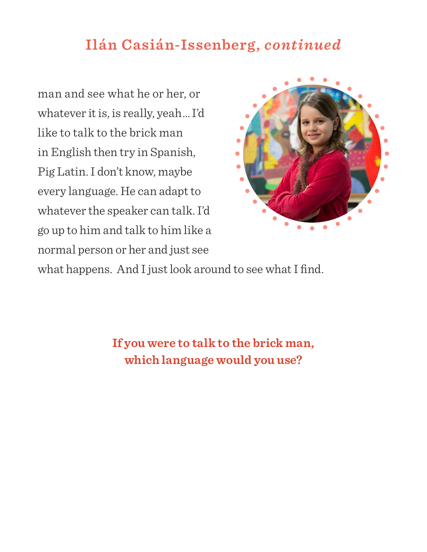## **Ilán Casián-Issenberg,** *continued*

man and see what he or her, or whatever it is, is really, yeah …  I'd like to talk to the brick man in English then try in Spanish, Pig Latin. I don't know, maybe every language. He can adapt to whatever the speaker can talk. I'd go up to him and talk to him like a normal person or her and just see



what happens. And I just look around to see what I find.

**If you were to talk to the brick man, which language would you use?**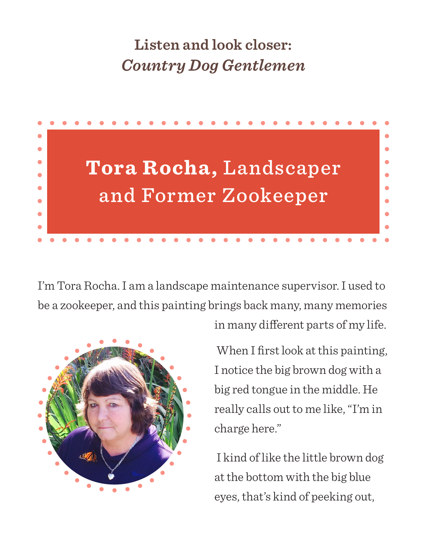# **Listen and look closer:** *Country Dog Gentlemen*



I'm Tora Rocha. I am a landscape maintenance supervisor. I used to be a zookeeper, and this painting brings back many, many memories



in many different parts of my life.

 When I first look at this painting, I notice the big brown dog with a big red tongue in the middle. He really calls out to me like, "I'm in charge here."

 I kind of like the little brown dog at the bottom with the big blue eyes, that's kind of peeking out,